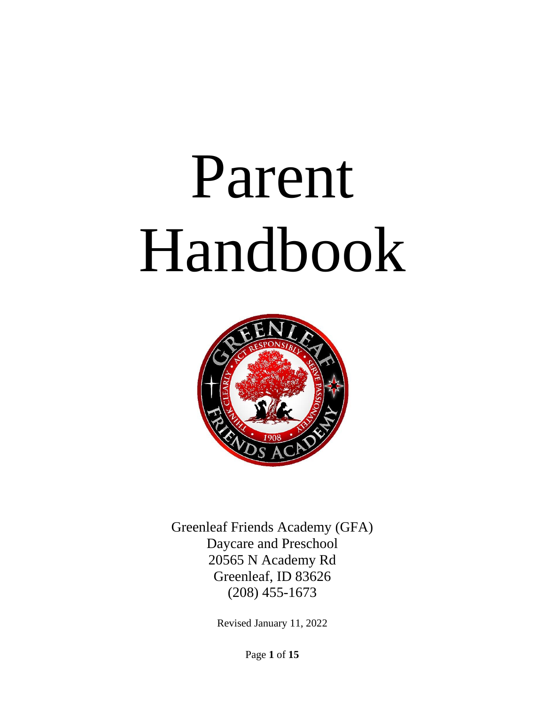# Parent Handbook



Greenleaf Friends Academy (GFA) Daycare and Preschool 20565 N Academy Rd Greenleaf, ID 83626 (208) 455-1673

Revised January 11, 2022

Page **1** of **15**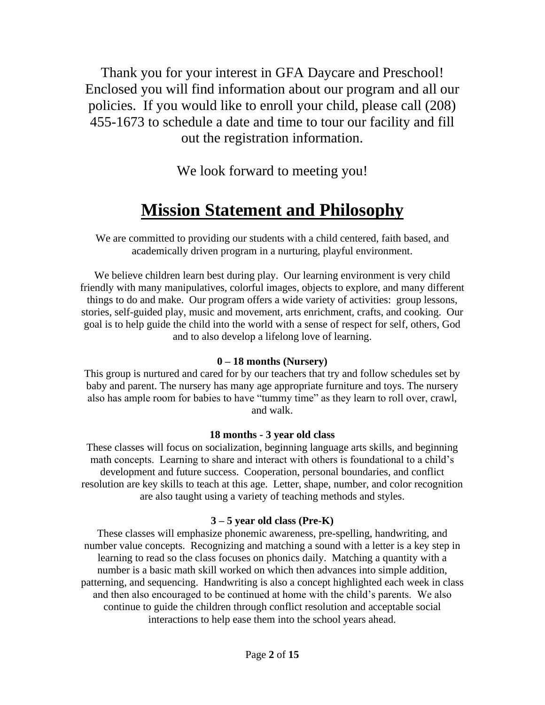Thank you for your interest in GFA Daycare and Preschool! Enclosed you will find information about our program and all our policies. If you would like to enroll your child, please call (208) 455-1673 to schedule a date and time to tour our facility and fill out the registration information.

We look forward to meeting you!

## **Mission Statement and Philosophy**

We are committed to providing our students with a child centered, faith based, and academically driven program in a nurturing, playful environment.

We believe children learn best during play. Our learning environment is very child friendly with many manipulatives, colorful images, objects to explore, and many different things to do and make. Our program offers a wide variety of activities: group lessons, stories, self-guided play, music and movement, arts enrichment, crafts, and cooking. Our goal is to help guide the child into the world with a sense of respect for self, others, God and to also develop a lifelong love of learning.

#### **0 – 18 months (Nursery)**

This group is nurtured and cared for by our teachers that try and follow schedules set by baby and parent. The nursery has many age appropriate furniture and toys. The nursery also has ample room for babies to have "tummy time" as they learn to roll over, crawl, and walk.

#### **18 months - 3 year old class**

These classes will focus on socialization, beginning language arts skills, and beginning math concepts. Learning to share and interact with others is foundational to a child's development and future success. Cooperation, personal boundaries, and conflict resolution are key skills to teach at this age. Letter, shape, number, and color recognition are also taught using a variety of teaching methods and styles.

#### **3 – 5 year old class (Pre-K)**

These classes will emphasize phonemic awareness, pre-spelling, handwriting, and number value concepts. Recognizing and matching a sound with a letter is a key step in learning to read so the class focuses on phonics daily. Matching a quantity with a number is a basic math skill worked on which then advances into simple addition, patterning, and sequencing. Handwriting is also a concept highlighted each week in class and then also encouraged to be continued at home with the child's parents. We also continue to guide the children through conflict resolution and acceptable social interactions to help ease them into the school years ahead.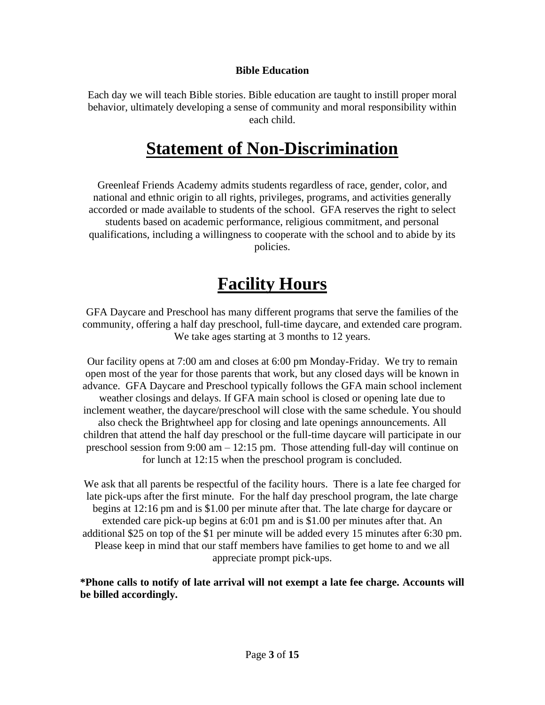#### **Bible Education**

Each day we will teach Bible stories. Bible education are taught to instill proper moral behavior, ultimately developing a sense of community and moral responsibility within each child.

## **Statement of Non-Discrimination**

Greenleaf Friends Academy admits students regardless of race, gender, color, and national and ethnic origin to all rights, privileges, programs, and activities generally accorded or made available to students of the school. GFA reserves the right to select students based on academic performance, religious commitment, and personal qualifications, including a willingness to cooperate with the school and to abide by its policies.

## **Facility Hours**

GFA Daycare and Preschool has many different programs that serve the families of the community, offering a half day preschool, full-time daycare, and extended care program. We take ages starting at 3 months to 12 years.

Our facility opens at 7:00 am and closes at 6:00 pm Monday-Friday. We try to remain open most of the year for those parents that work, but any closed days will be known in advance. GFA Daycare and Preschool typically follows the GFA main school inclement weather closings and delays. If GFA main school is closed or opening late due to inclement weather, the daycare/preschool will close with the same schedule. You should also check the Brightwheel app for closing and late openings announcements. All children that attend the half day preschool or the full-time daycare will participate in our preschool session from 9:00 am – 12:15 pm. Those attending full-day will continue on for lunch at 12:15 when the preschool program is concluded.

We ask that all parents be respectful of the facility hours. There is a late fee charged for late pick-ups after the first minute. For the half day preschool program, the late charge begins at 12:16 pm and is \$1.00 per minute after that. The late charge for daycare or extended care pick-up begins at 6:01 pm and is \$1.00 per minutes after that. An additional \$25 on top of the \$1 per minute will be added every 15 minutes after 6:30 pm. Please keep in mind that our staff members have families to get home to and we all appreciate prompt pick-ups.

#### **\*Phone calls to notify of late arrival will not exempt a late fee charge. Accounts will be billed accordingly.**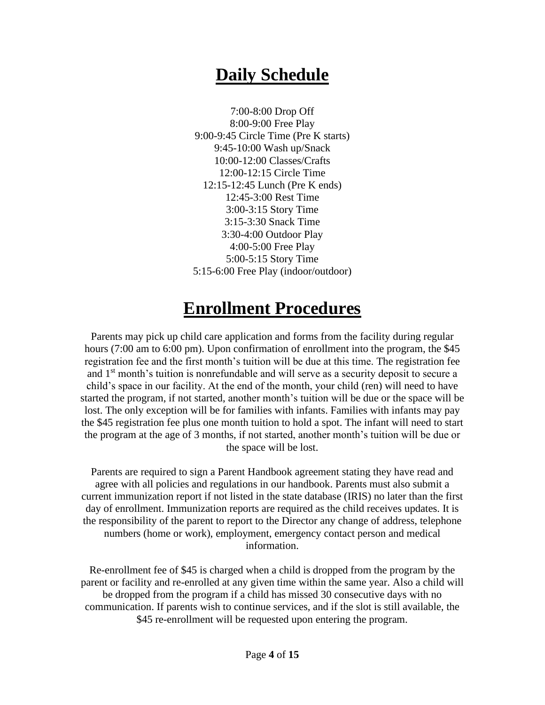## **Daily Schedule**

7:00-8:00 Drop Off 8:00-9:00 Free Play 9:00-9:45 Circle Time (Pre K starts) 9:45-10:00 Wash up/Snack 10:00-12:00 Classes/Crafts 12:00-12:15 Circle Time 12:15-12:45 Lunch (Pre K ends) 12:45-3:00 Rest Time 3:00-3:15 Story Time 3:15-3:30 Snack Time 3:30-4:00 Outdoor Play 4:00-5:00 Free Play 5:00-5:15 Story Time 5:15-6:00 Free Play (indoor/outdoor)

## **Enrollment Procedures**

Parents may pick up child care application and forms from the facility during regular hours (7:00 am to 6:00 pm). Upon confirmation of enrollment into the program, the \$45 registration fee and the first month's tuition will be due at this time. The registration fee and 1st month's tuition is nonrefundable and will serve as a security deposit to secure a child's space in our facility. At the end of the month, your child (ren) will need to have started the program, if not started, another month's tuition will be due or the space will be lost. The only exception will be for families with infants. Families with infants may pay the \$45 registration fee plus one month tuition to hold a spot. The infant will need to start the program at the age of 3 months, if not started, another month's tuition will be due or the space will be lost.

Parents are required to sign a Parent Handbook agreement stating they have read and agree with all policies and regulations in our handbook. Parents must also submit a current immunization report if not listed in the state database (IRIS) no later than the first day of enrollment. Immunization reports are required as the child receives updates. It is the responsibility of the parent to report to the Director any change of address, telephone numbers (home or work), employment, emergency contact person and medical information.

Re-enrollment fee of \$45 is charged when a child is dropped from the program by the parent or facility and re-enrolled at any given time within the same year. Also a child will be dropped from the program if a child has missed 30 consecutive days with no communication. If parents wish to continue services, and if the slot is still available, the \$45 re-enrollment will be requested upon entering the program.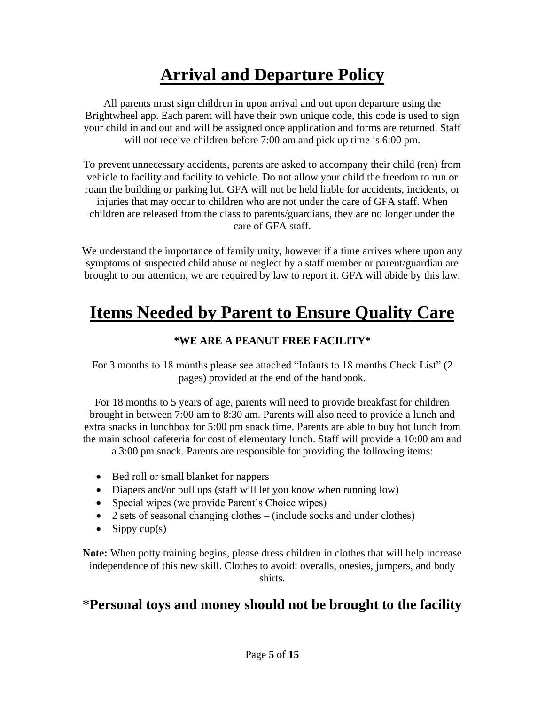# **Arrival and Departure Policy**

All parents must sign children in upon arrival and out upon departure using the Brightwheel app. Each parent will have their own unique code, this code is used to sign your child in and out and will be assigned once application and forms are returned. Staff will not receive children before 7:00 am and pick up time is 6:00 pm.

To prevent unnecessary accidents, parents are asked to accompany their child (ren) from vehicle to facility and facility to vehicle. Do not allow your child the freedom to run or roam the building or parking lot. GFA will not be held liable for accidents, incidents, or injuries that may occur to children who are not under the care of GFA staff. When children are released from the class to parents/guardians, they are no longer under the care of GFA staff.

We understand the importance of family unity, however if a time arrives where upon any symptoms of suspected child abuse or neglect by a staff member or parent/guardian are brought to our attention, we are required by law to report it. GFA will abide by this law.

## **Items Needed by Parent to Ensure Quality Care**

#### **\*WE ARE A PEANUT FREE FACILITY\***

For 3 months to 18 months please see attached "Infants to 18 months Check List" (2 pages) provided at the end of the handbook.

For 18 months to 5 years of age, parents will need to provide breakfast for children brought in between 7:00 am to 8:30 am. Parents will also need to provide a lunch and extra snacks in lunchbox for 5:00 pm snack time. Parents are able to buy hot lunch from the main school cafeteria for cost of elementary lunch. Staff will provide a 10:00 am and a 3:00 pm snack. Parents are responsible for providing the following items:

- Bed roll or small blanket for nappers
- Diapers and/or pull ups (staff will let you know when running low)
- Special wipes (we provide Parent's Choice wipes)
- 2 sets of seasonal changing clothes (include socks and under clothes)
- Sippy  $cup(s)$

**Note:** When potty training begins, please dress children in clothes that will help increase independence of this new skill. Clothes to avoid: overalls, onesies, jumpers, and body shirts.

## **\*Personal toys and money should not be brought to the facility**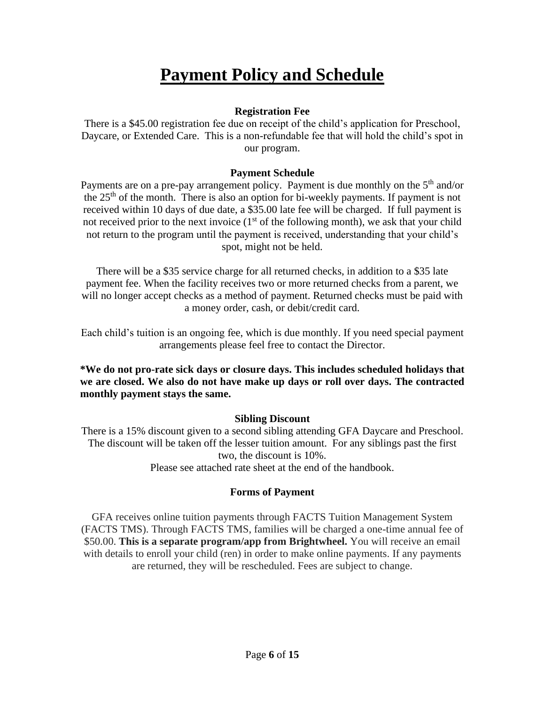## **Payment Policy and Schedule**

#### **Registration Fee**

There is a \$45.00 registration fee due on receipt of the child's application for Preschool, Daycare, or Extended Care. This is a non-refundable fee that will hold the child's spot in our program.

#### **Payment Schedule**

Payments are on a pre-pay arrangement policy. Payment is due monthly on the  $5<sup>th</sup>$  and/or the 25<sup>th</sup> of the month. There is also an option for bi-weekly payments. If payment is not received within 10 days of due date, a \$35.00 late fee will be charged. If full payment is not received prior to the next invoice  $(1<sup>st</sup>$  of the following month), we ask that your child not return to the program until the payment is received, understanding that your child's spot, might not be held.

There will be a \$35 service charge for all returned checks, in addition to a \$35 late payment fee. When the facility receives two or more returned checks from a parent, we will no longer accept checks as a method of payment. Returned checks must be paid with a money order, cash, or debit/credit card.

Each child's tuition is an ongoing fee, which is due monthly. If you need special payment arrangements please feel free to contact the Director.

**\*We do not pro-rate sick days or closure days. This includes scheduled holidays that we are closed. We also do not have make up days or roll over days. The contracted monthly payment stays the same.**

#### **Sibling Discount**

There is a 15% discount given to a second sibling attending GFA Daycare and Preschool. The discount will be taken off the lesser tuition amount. For any siblings past the first two, the discount is 10%. Please see attached rate sheet at the end of the handbook.

#### **Forms of Payment**

GFA receives online tuition payments through FACTS Tuition Management System (FACTS TMS). Through FACTS TMS, families will be charged a one-time annual fee of \$50.00. **This is a separate program/app from Brightwheel.** You will receive an email with details to enroll your child (ren) in order to make online payments. If any payments are returned, they will be rescheduled. Fees are subject to change.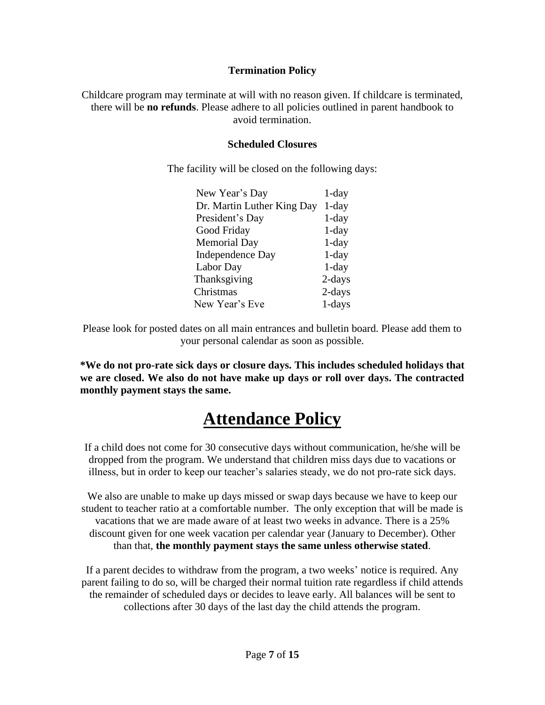#### **Termination Policy**

Childcare program may terminate at will with no reason given. If childcare is terminated, there will be **no refunds**. Please adhere to all policies outlined in parent handbook to avoid termination.

#### **Scheduled Closures**

The facility will be closed on the following days:

| New Year's Day             | $1$ -day  |
|----------------------------|-----------|
| Dr. Martin Luther King Day | $1$ -day  |
| President's Day            | $1$ -day  |
| Good Friday                | $1$ -day  |
| <b>Memorial Day</b>        | $1$ -day  |
| Independence Day           | $1$ -day  |
| Labor Day                  | $1$ -day  |
| Thanksgiving               | $2$ -days |
| Christmas                  | $2$ -days |
| New Year's Eve             | 1-days    |

Please look for posted dates on all main entrances and bulletin board. Please add them to your personal calendar as soon as possible.

**\*We do not pro-rate sick days or closure days. This includes scheduled holidays that we are closed. We also do not have make up days or roll over days. The contracted monthly payment stays the same.**

## **Attendance Policy**

If a child does not come for 30 consecutive days without communication, he/she will be dropped from the program. We understand that children miss days due to vacations or illness, but in order to keep our teacher's salaries steady, we do not pro-rate sick days.

We also are unable to make up days missed or swap days because we have to keep our student to teacher ratio at a comfortable number. The only exception that will be made is vacations that we are made aware of at least two weeks in advance. There is a 25% discount given for one week vacation per calendar year (January to December). Other than that, **the monthly payment stays the same unless otherwise stated**.

If a parent decides to withdraw from the program, a two weeks' notice is required. Any parent failing to do so, will be charged their normal tuition rate regardless if child attends the remainder of scheduled days or decides to leave early. All balances will be sent to collections after 30 days of the last day the child attends the program.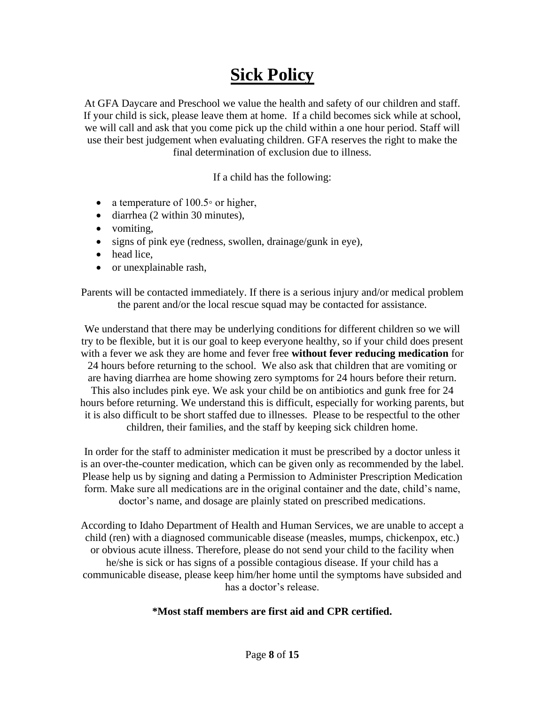# **Sick Policy**

At GFA Daycare and Preschool we value the health and safety of our children and staff. If your child is sick, please leave them at home. If a child becomes sick while at school, we will call and ask that you come pick up the child within a one hour period. Staff will use their best judgement when evaluating children. GFA reserves the right to make the final determination of exclusion due to illness.

If a child has the following:

- a temperature of 100.5° or higher,
- diarrhea (2 within 30 minutes),
- vomiting,
- signs of pink eye (redness, swollen, drainage/gunk in eye),
- head lice,
- or unexplainable rash,

Parents will be contacted immediately. If there is a serious injury and/or medical problem the parent and/or the local rescue squad may be contacted for assistance.

We understand that there may be underlying conditions for different children so we will try to be flexible, but it is our goal to keep everyone healthy, so if your child does present with a fever we ask they are home and fever free **without fever reducing medication** for 24 hours before returning to the school. We also ask that children that are vomiting or are having diarrhea are home showing zero symptoms for 24 hours before their return. This also includes pink eye. We ask your child be on antibiotics and gunk free for 24 hours before returning. We understand this is difficult, especially for working parents, but it is also difficult to be short staffed due to illnesses. Please to be respectful to the other children, their families, and the staff by keeping sick children home.

In order for the staff to administer medication it must be prescribed by a doctor unless it is an over-the-counter medication, which can be given only as recommended by the label. Please help us by signing and dating a Permission to Administer Prescription Medication form. Make sure all medications are in the original container and the date, child's name, doctor's name, and dosage are plainly stated on prescribed medications.

According to Idaho Department of Health and Human Services, we are unable to accept a child (ren) with a diagnosed communicable disease (measles, mumps, chickenpox, etc.) or obvious acute illness. Therefore, please do not send your child to the facility when he/she is sick or has signs of a possible contagious disease. If your child has a communicable disease, please keep him/her home until the symptoms have subsided and has a doctor's release.

#### **\*Most staff members are first aid and CPR certified.**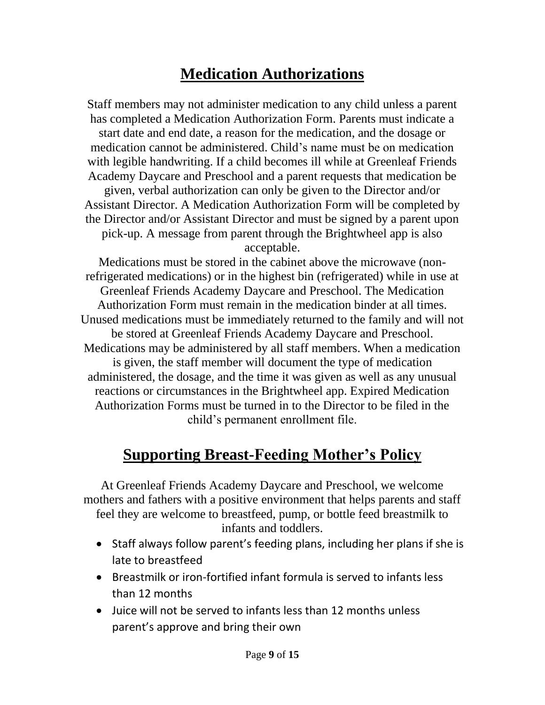## **Medication Authorizations**

Staff members may not administer medication to any child unless a parent has completed a Medication Authorization Form. Parents must indicate a start date and end date, a reason for the medication, and the dosage or medication cannot be administered. Child's name must be on medication with legible handwriting. If a child becomes ill while at Greenleaf Friends Academy Daycare and Preschool and a parent requests that medication be given, verbal authorization can only be given to the Director and/or Assistant Director. A Medication Authorization Form will be completed by the Director and/or Assistant Director and must be signed by a parent upon pick-up. A message from parent through the Brightwheel app is also acceptable.

Medications must be stored in the cabinet above the microwave (nonrefrigerated medications) or in the highest bin (refrigerated) while in use at Greenleaf Friends Academy Daycare and Preschool. The Medication Authorization Form must remain in the medication binder at all times. Unused medications must be immediately returned to the family and will not be stored at Greenleaf Friends Academy Daycare and Preschool. Medications may be administered by all staff members. When a medication is given, the staff member will document the type of medication administered, the dosage, and the time it was given as well as any unusual reactions or circumstances in the Brightwheel app. Expired Medication Authorization Forms must be turned in to the Director to be filed in the child's permanent enrollment file.

## **Supporting Breast-Feeding Mother's Policy**

At Greenleaf Friends Academy Daycare and Preschool, we welcome mothers and fathers with a positive environment that helps parents and staff feel they are welcome to breastfeed, pump, or bottle feed breastmilk to infants and toddlers.

- Staff always follow parent's feeding plans, including her plans if she is late to breastfeed
- Breastmilk or iron-fortified infant formula is served to infants less than 12 months
- Juice will not be served to infants less than 12 months unless parent's approve and bring their own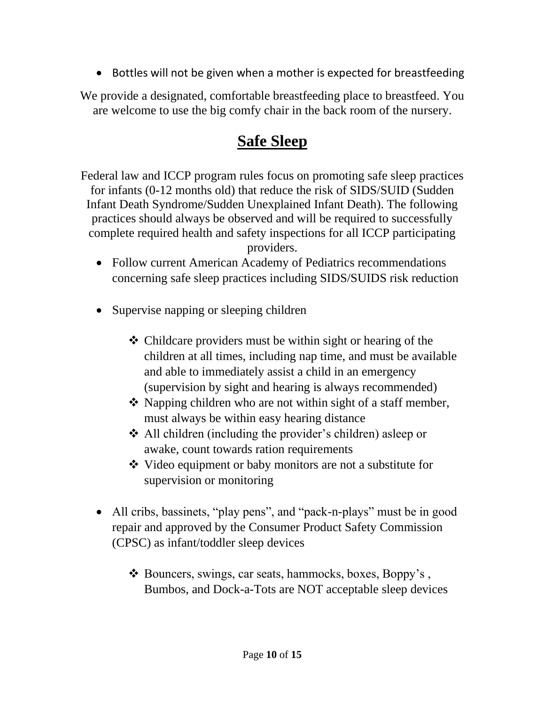• Bottles will not be given when a mother is expected for breastfeeding

We provide a designated, comfortable breastfeeding place to breastfeed. You are welcome to use the big comfy chair in the back room of the nursery.

## **Safe Sleep**

Federal law and ICCP program rules focus on promoting safe sleep practices for infants (0-12 months old) that reduce the risk of SIDS/SUID (Sudden Infant Death Syndrome/Sudden Unexplained Infant Death). The following practices should always be observed and will be required to successfully complete required health and safety inspections for all ICCP participating

providers.

- Follow current American Academy of Pediatrics recommendations concerning safe sleep practices including SIDS/SUIDS risk reduction
- Supervise napping or sleeping children
	- ❖ Childcare providers must be within sight or hearing of the children at all times, including nap time, and must be available and able to immediately assist a child in an emergency (supervision by sight and hearing is always recommended)
	- ❖ Napping children who are not within sight of a staff member, must always be within easy hearing distance
	- ❖ All children (including the provider's children) asleep or awake, count towards ration requirements
	- ❖ Video equipment or baby monitors are not a substitute for supervision or monitoring
- All cribs, bassinets, "play pens", and "pack-n-plays" must be in good repair and approved by the Consumer Product Safety Commission (CPSC) as infant/toddler sleep devices
	- ❖ Bouncers, swings, car seats, hammocks, boxes, Boppy's , Bumbos, and Dock-a-Tots are NOT acceptable sleep devices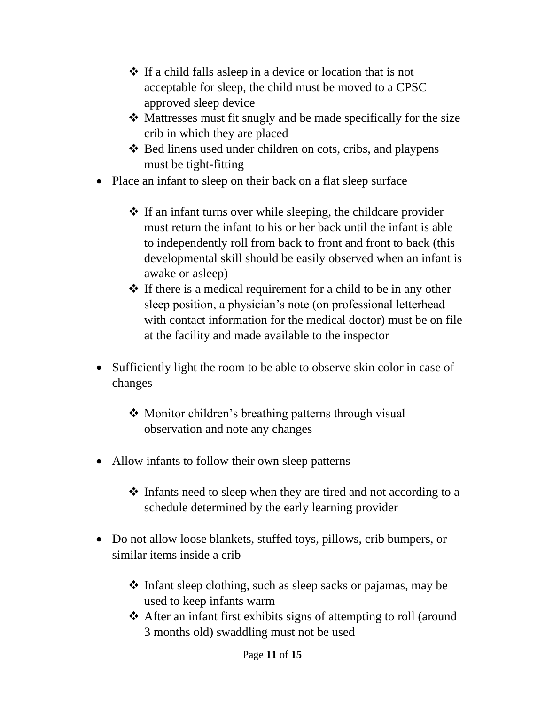- ❖ If a child falls asleep in a device or location that is not acceptable for sleep, the child must be moved to a CPSC approved sleep device
- ❖ Mattresses must fit snugly and be made specifically for the size crib in which they are placed
- ❖ Bed linens used under children on cots, cribs, and playpens must be tight-fitting
- Place an infant to sleep on their back on a flat sleep surface
	- ❖ If an infant turns over while sleeping, the childcare provider must return the infant to his or her back until the infant is able to independently roll from back to front and front to back (this developmental skill should be easily observed when an infant is awake or asleep)
	- ❖ If there is a medical requirement for a child to be in any other sleep position, a physician's note (on professional letterhead with contact information for the medical doctor) must be on file at the facility and made available to the inspector
- Sufficiently light the room to be able to observe skin color in case of changes
	- ❖ Monitor children's breathing patterns through visual observation and note any changes
- Allow infants to follow their own sleep patterns
	- ❖ Infants need to sleep when they are tired and not according to a schedule determined by the early learning provider
- Do not allow loose blankets, stuffed toys, pillows, crib bumpers, or similar items inside a crib
	- ❖ Infant sleep clothing, such as sleep sacks or pajamas, may be used to keep infants warm
	- ❖ After an infant first exhibits signs of attempting to roll (around 3 months old) swaddling must not be used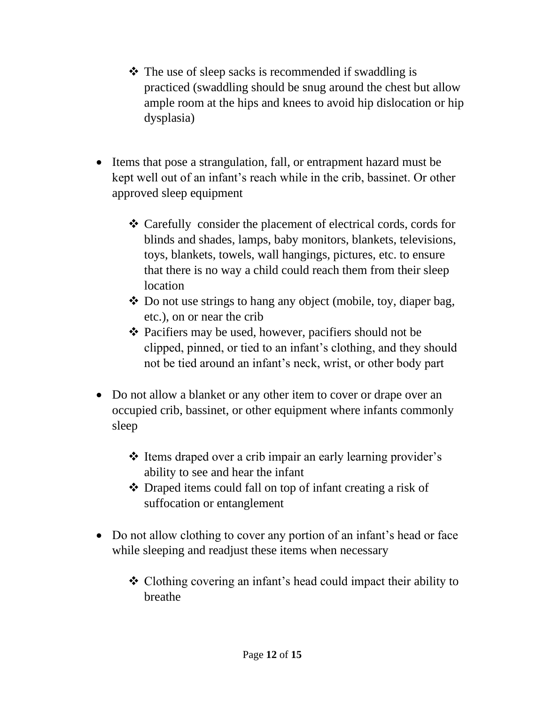- ❖ The use of sleep sacks is recommended if swaddling is practiced (swaddling should be snug around the chest but allow ample room at the hips and knees to avoid hip dislocation or hip dysplasia)
- Items that pose a strangulation, fall, or entrapment hazard must be kept well out of an infant's reach while in the crib, bassinet. Or other approved sleep equipment
	- ❖ Carefully consider the placement of electrical cords, cords for blinds and shades, lamps, baby monitors, blankets, televisions, toys, blankets, towels, wall hangings, pictures, etc. to ensure that there is no way a child could reach them from their sleep location
	- ❖ Do not use strings to hang any object (mobile, toy, diaper bag, etc.), on or near the crib
	- ❖ Pacifiers may be used, however, pacifiers should not be clipped, pinned, or tied to an infant's clothing, and they should not be tied around an infant's neck, wrist, or other body part
- Do not allow a blanket or any other item to cover or drape over an occupied crib, bassinet, or other equipment where infants commonly sleep
	- ❖ Items draped over a crib impair an early learning provider's ability to see and hear the infant
	- ❖ Draped items could fall on top of infant creating a risk of suffocation or entanglement
- Do not allow clothing to cover any portion of an infant's head or face while sleeping and readjust these items when necessary
	- ❖ Clothing covering an infant's head could impact their ability to breathe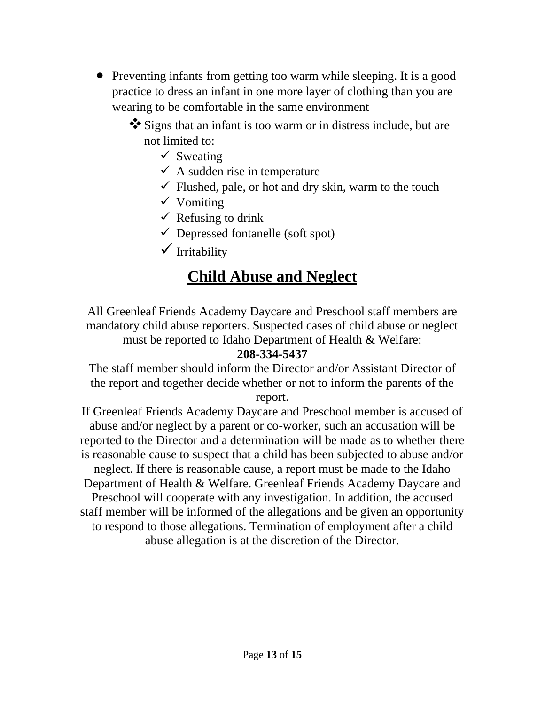• Preventing infants from getting too warm while sleeping. It is a good practice to dress an infant in one more layer of clothing than you are wearing to be comfortable in the same environment

❖Signs that an infant is too warm or in distress include, but are not limited to:

- $\checkmark$  Sweating
- $\checkmark$  A sudden rise in temperature
- $\checkmark$  Flushed, pale, or hot and dry skin, warm to the touch
- ✓ Vomiting
- $\checkmark$  Refusing to drink
- $\checkmark$  Depressed fontanelle (soft spot)
- $\checkmark$  Irritability

## **Child Abuse and Neglect**

All Greenleaf Friends Academy Daycare and Preschool staff members are mandatory child abuse reporters. Suspected cases of child abuse or neglect must be reported to Idaho Department of Health & Welfare:

### **208-334-5437**

The staff member should inform the Director and/or Assistant Director of the report and together decide whether or not to inform the parents of the report.

If Greenleaf Friends Academy Daycare and Preschool member is accused of abuse and/or neglect by a parent or co-worker, such an accusation will be reported to the Director and a determination will be made as to whether there is reasonable cause to suspect that a child has been subjected to abuse and/or neglect. If there is reasonable cause, a report must be made to the Idaho Department of Health & Welfare. Greenleaf Friends Academy Daycare and Preschool will cooperate with any investigation. In addition, the accused staff member will be informed of the allegations and be given an opportunity to respond to those allegations. Termination of employment after a child abuse allegation is at the discretion of the Director.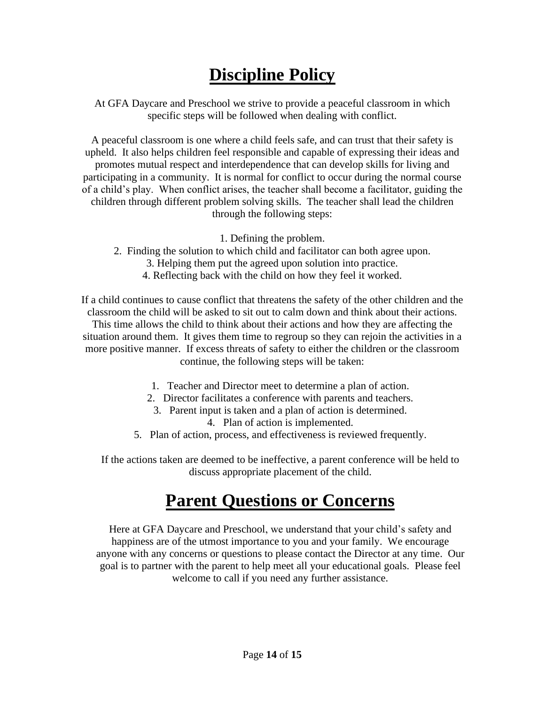## **Discipline Policy**

At GFA Daycare and Preschool we strive to provide a peaceful classroom in which specific steps will be followed when dealing with conflict.

A peaceful classroom is one where a child feels safe, and can trust that their safety is upheld. It also helps children feel responsible and capable of expressing their ideas and promotes mutual respect and interdependence that can develop skills for living and participating in a community. It is normal for conflict to occur during the normal course of a child's play. When conflict arises, the teacher shall become a facilitator, guiding the children through different problem solving skills. The teacher shall lead the children through the following steps:

1. Defining the problem.

- 2. Finding the solution to which child and facilitator can both agree upon.
	- 3. Helping them put the agreed upon solution into practice.
	- 4. Reflecting back with the child on how they feel it worked.

If a child continues to cause conflict that threatens the safety of the other children and the classroom the child will be asked to sit out to calm down and think about their actions.

This time allows the child to think about their actions and how they are affecting the situation around them. It gives them time to regroup so they can rejoin the activities in a more positive manner. If excess threats of safety to either the children or the classroom continue, the following steps will be taken:

- 1. Teacher and Director meet to determine a plan of action.
- 2. Director facilitates a conference with parents and teachers.
	- 3. Parent input is taken and a plan of action is determined. 4. Plan of action is implemented.
- 5. Plan of action, process, and effectiveness is reviewed frequently.

If the actions taken are deemed to be ineffective, a parent conference will be held to discuss appropriate placement of the child.

## **Parent Questions or Concerns**

Here at GFA Daycare and Preschool, we understand that your child's safety and happiness are of the utmost importance to you and your family. We encourage anyone with any concerns or questions to please contact the Director at any time. Our goal is to partner with the parent to help meet all your educational goals. Please feel welcome to call if you need any further assistance.